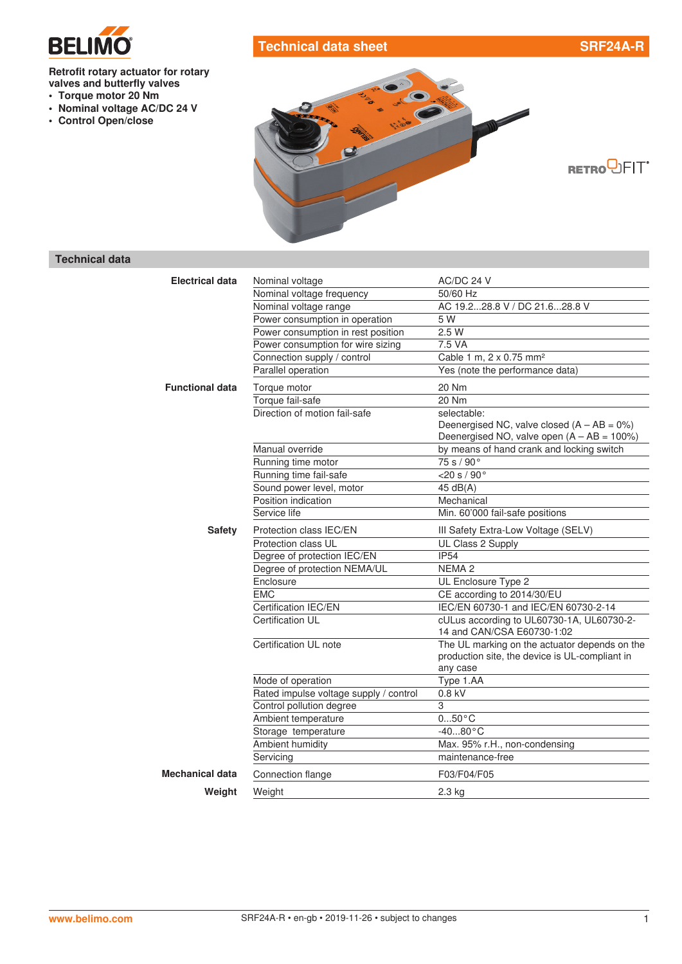

# **Technical data sheet SRF24A-R**

**RETRO**<sup>D</sup>FIT<sup>®</sup>

## **Retrofit rotary actuator for rotary valves and butterfly valves**

- **• Torque motor 20 Nm**
- **• Nominal voltage AC/DC 24 V**
- **• Control Open/close**



### **Technical data**

| <b>Electrical data</b> | Nominal voltage                        | AC/DC 24 V                                     |
|------------------------|----------------------------------------|------------------------------------------------|
|                        | Nominal voltage frequency              | 50/60 Hz                                       |
|                        | Nominal voltage range                  | AC 19.228.8 V / DC 21.628.8 V                  |
|                        | Power consumption in operation         | 5 W                                            |
|                        | Power consumption in rest position     | 2.5W                                           |
|                        | Power consumption for wire sizing      | 7.5 VA                                         |
|                        | Connection supply / control            | Cable 1 m, 2 x 0.75 mm <sup>2</sup>            |
|                        | Parallel operation                     | Yes (note the performance data)                |
| <b>Functional data</b> | Torque motor                           | 20 Nm                                          |
|                        | Torque fail-safe                       | 20 Nm                                          |
|                        | Direction of motion fail-safe          | selectable:                                    |
|                        |                                        | Deenergised NC, valve closed $(A - AB = 0\%)$  |
|                        |                                        | Deenergised NO, valve open $(A - AB = 100\%)$  |
|                        | Manual override                        | by means of hand crank and locking switch      |
|                        | Running time motor                     | 75 s / 90°                                     |
|                        | Running time fail-safe                 | $<$ 20 s / 90 $^{\circ}$                       |
|                        | Sound power level, motor               | 45 dB(A)                                       |
|                        | Position indication                    | Mechanical                                     |
|                        | Service life                           | Min. 60'000 fail-safe positions                |
| <b>Safety</b>          | Protection class IEC/EN                | III Safety Extra-Low Voltage (SELV)            |
|                        | Protection class UL                    | UL Class 2 Supply                              |
|                        | Degree of protection IEC/EN            | <b>IP54</b>                                    |
|                        | Degree of protection NEMA/UL           | NEMA <sub>2</sub>                              |
|                        | Enclosure                              | UL Enclosure Type 2                            |
|                        | <b>EMC</b>                             | CE according to 2014/30/EU                     |
|                        | Certification IEC/EN                   | IEC/EN 60730-1 and IEC/EN 60730-2-14           |
|                        | Certification UL                       | cULus according to UL60730-1A, UL60730-2-      |
|                        |                                        | 14 and CAN/CSA E60730-1:02                     |
|                        | Certification UL note                  | The UL marking on the actuator depends on the  |
|                        |                                        | production site, the device is UL-compliant in |
|                        |                                        | any case                                       |
|                        | Mode of operation                      | Type 1.AA                                      |
|                        | Rated impulse voltage supply / control | $0.8$ kV                                       |
|                        | Control pollution degree               | 3                                              |
|                        | Ambient temperature                    | $050$ °C                                       |
|                        | Storage temperature                    | $-4080 °C$                                     |
|                        | Ambient humidity                       | Max. 95% r.H., non-condensing                  |
|                        | Servicing                              | maintenance-free                               |
| Mechanical data        | Connection flange                      | F03/F04/F05                                    |
| Weight                 | Weight                                 | 2.3 kg                                         |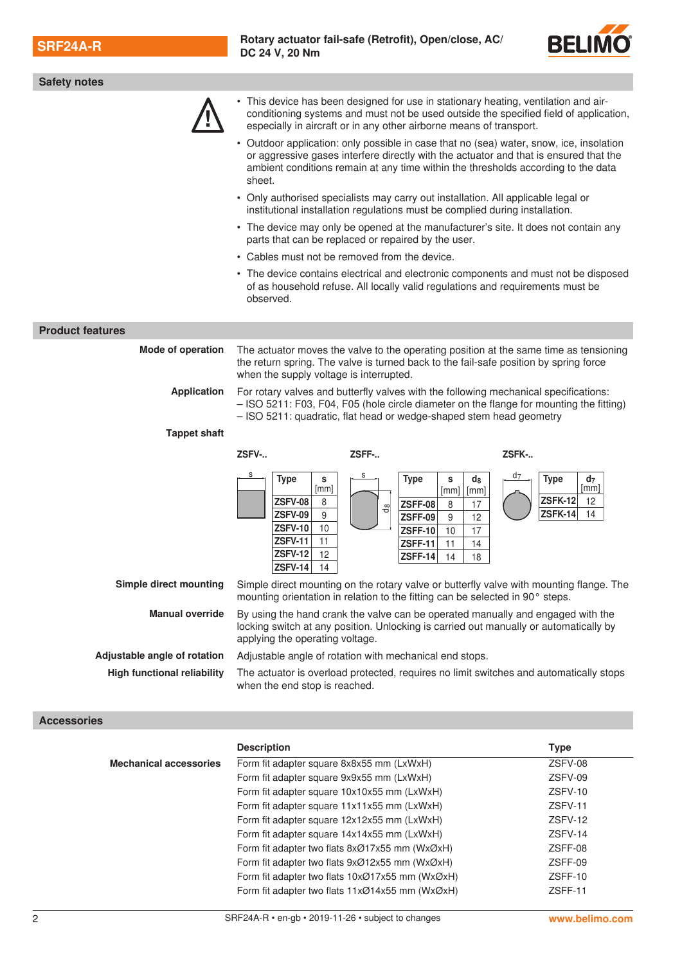

| <b>Safety notes</b>                                                                                                                                               |                                                                                                                                                                                                                                                                                                                                                                                  |                                                                                             |  |  |  |
|-------------------------------------------------------------------------------------------------------------------------------------------------------------------|----------------------------------------------------------------------------------------------------------------------------------------------------------------------------------------------------------------------------------------------------------------------------------------------------------------------------------------------------------------------------------|---------------------------------------------------------------------------------------------|--|--|--|
|                                                                                                                                                                   | • This device has been designed for use in stationary heating, ventilation and air-<br>conditioning systems and must not be used outside the specified field of application,<br>especially in aircraft or in any other airborne means of transport.                                                                                                                              |                                                                                             |  |  |  |
|                                                                                                                                                                   | Outdoor application: only possible in case that no (sea) water, snow, ice, insolation<br>or aggressive gases interfere directly with the actuator and that is ensured that the<br>ambient conditions remain at any time within the thresholds according to the data<br>sheet.                                                                                                    |                                                                                             |  |  |  |
| • Only authorised specialists may carry out installation. All applicable legal or<br>institutional installation regulations must be complied during installation. |                                                                                                                                                                                                                                                                                                                                                                                  |                                                                                             |  |  |  |
|                                                                                                                                                                   | • The device may only be opened at the manufacturer's site. It does not contain any<br>parts that can be replaced or repaired by the user.                                                                                                                                                                                                                                       |                                                                                             |  |  |  |
|                                                                                                                                                                   | • Cables must not be removed from the device.                                                                                                                                                                                                                                                                                                                                    |                                                                                             |  |  |  |
|                                                                                                                                                                   | • The device contains electrical and electronic components and must not be disposed<br>of as household refuse. All locally valid regulations and requirements must be<br>observed.                                                                                                                                                                                               |                                                                                             |  |  |  |
| <b>Product features</b>                                                                                                                                           |                                                                                                                                                                                                                                                                                                                                                                                  |                                                                                             |  |  |  |
| <b>Mode of operation</b>                                                                                                                                          | The actuator moves the valve to the operating position at the same time as tensioning<br>the return spring. The valve is turned back to the fail-safe position by spring force<br>when the supply voltage is interrupted.                                                                                                                                                        |                                                                                             |  |  |  |
| <b>Application</b>                                                                                                                                                | For rotary valves and butterfly valves with the following mechanical specifications:<br>- ISO 5211: F03, F04, F05 (hole circle diameter on the flange for mounting the fitting)<br>- ISO 5211: quadratic, flat head or wedge-shaped stem head geometry                                                                                                                           |                                                                                             |  |  |  |
| <b>Tappet shaft</b>                                                                                                                                               |                                                                                                                                                                                                                                                                                                                                                                                  |                                                                                             |  |  |  |
|                                                                                                                                                                   | ZSFV-<br>ZSFF-                                                                                                                                                                                                                                                                                                                                                                   | ZSFK-                                                                                       |  |  |  |
|                                                                                                                                                                   |                                                                                                                                                                                                                                                                                                                                                                                  |                                                                                             |  |  |  |
|                                                                                                                                                                   | <b>Type</b><br><b>Type</b><br>$d_8$<br>s<br>s<br>[mm]<br>[mm]<br>[mm]<br><b>ZSFV-08</b><br>8<br>ZSFF-08<br>8<br>17<br><del>ය</del><br><b>ZSFV-09</b><br>9<br><b>ZSFF-09</b><br>9<br>12<br><b>ZSFV-10</b><br>10<br><b>ZSFF-10</b><br>10<br>17<br><b>ZSFV-11</b><br>11<br><b>ZSFF-11</b><br>11<br>14<br><b>ZSFV-12</b><br>12<br><b>ZSFF-14</b><br>14<br>18<br><b>ZSFV-14</b><br>14 | d7<br><b>Type</b><br>d <sub>7</sub><br>[mm]<br><b>ZSFK-12</b><br>12<br><b>ZSFK-14</b><br>14 |  |  |  |
| <b>Simple direct mounting</b>                                                                                                                                     | Simple direct mounting on the rotary valve or butterfly valve with mounting flange. The<br>mounting orientation in relation to the fitting can be selected in 90° steps.                                                                                                                                                                                                         |                                                                                             |  |  |  |
| <b>Manual override</b>                                                                                                                                            | By using the hand crank the valve can be operated manually and engaged with the<br>locking switch at any position. Unlocking is carried out manually or automatically by<br>applying the operating voltage.                                                                                                                                                                      |                                                                                             |  |  |  |
| Adjustable angle of rotation                                                                                                                                      | Adjustable angle of rotation with mechanical end stops.                                                                                                                                                                                                                                                                                                                          |                                                                                             |  |  |  |
| <b>High functional reliability</b>                                                                                                                                | The actuator is overload protected, requires no limit switches and automatically stops<br>when the end stop is reached.                                                                                                                                                                                                                                                          |                                                                                             |  |  |  |
| <b>Accessories</b>                                                                                                                                                |                                                                                                                                                                                                                                                                                                                                                                                  |                                                                                             |  |  |  |
|                                                                                                                                                                   | <b>Description</b>                                                                                                                                                                                                                                                                                                                                                               | <b>Type</b>                                                                                 |  |  |  |
| <b>Mechanical accessories</b>                                                                                                                                     | Form fit adapter square 8x8x55 mm (LxWxH)                                                                                                                                                                                                                                                                                                                                        | ZSFV-08                                                                                     |  |  |  |
|                                                                                                                                                                   | Form fit adapter square 9x9x55 mm (LxWxH)                                                                                                                                                                                                                                                                                                                                        | ZSFV-09                                                                                     |  |  |  |
|                                                                                                                                                                   | Form fit adapter square 10x10x55 mm (LxWxH)                                                                                                                                                                                                                                                                                                                                      | ZSFV-10                                                                                     |  |  |  |
|                                                                                                                                                                   | Form fit adapter square 11x11x55 mm (LxWxH)                                                                                                                                                                                                                                                                                                                                      | ZSFV-11                                                                                     |  |  |  |
|                                                                                                                                                                   | Form fit adapter square 12x12x55 mm (LxWxH)                                                                                                                                                                                                                                                                                                                                      | ZSFV-12                                                                                     |  |  |  |
|                                                                                                                                                                   | Form fit adapter square 14x14x55 mm (LxWxH)                                                                                                                                                                                                                                                                                                                                      | ZSFV-14                                                                                     |  |  |  |
|                                                                                                                                                                   | Form fit adapter two flats 8xØ17x55 mm (WxØxH)                                                                                                                                                                                                                                                                                                                                   | ZSFF-08                                                                                     |  |  |  |

Form fit adapter two flats 9xØ12x55 mm (WxØxH) ZSFF-09 Form fit adapter two flats 10xØ17x55 mm (WxØxH) ZSFF-10 Form fit adapter two flats 11xØ14x55 mm (WxØxH) ZSFF-11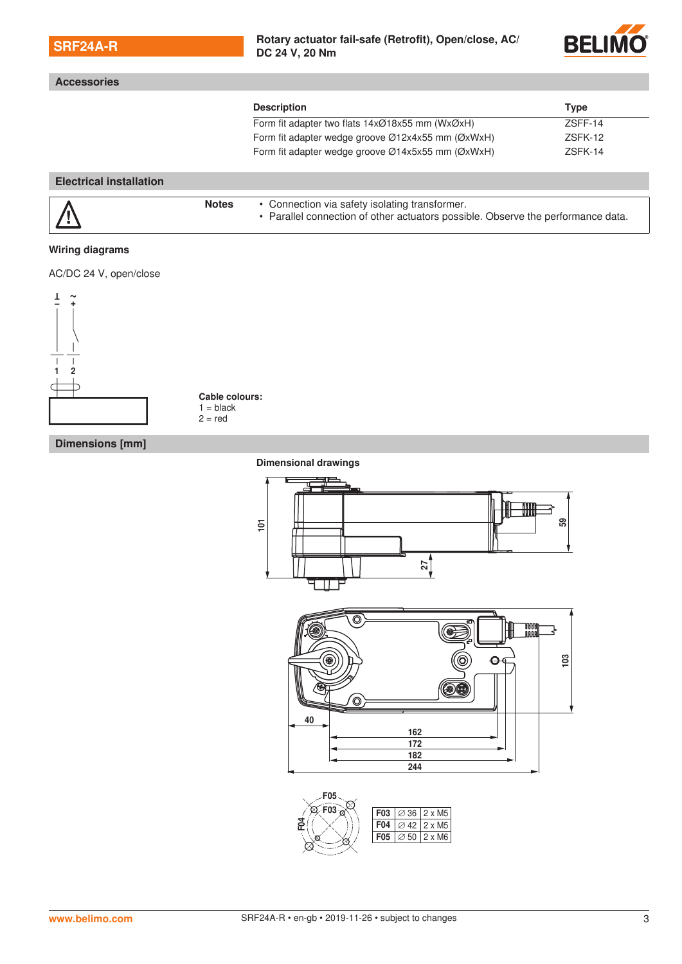|  | <b>SRF24A-R</b> |
|--|-----------------|
|  |                 |

**Accessories**

#### Rotary actuator fail-safe (Retrofit), Open/close, AC/ **DC 24 V, 20 Nm**



|                                |              | <b>Description</b>                                                               | <b>Type</b>    |  |
|--------------------------------|--------------|----------------------------------------------------------------------------------|----------------|--|
|                                |              | Form fit adapter two flats 14xØ18x55 mm (WxØxH)                                  | <b>7SFF-14</b> |  |
|                                |              | Form fit adapter wedge groove $\varnothing$ 12x4x55 mm ( $\varnothing$ xWxH)     | ZSFK-12        |  |
|                                |              | Form fit adapter wedge groove Ø14x5x55 mm (ØxWxH)                                | ZSFK-14        |  |
| <b>Electrical installation</b> |              |                                                                                  |                |  |
|                                | <b>Notes</b> | • Connection via safety isolating transformer.                                   |                |  |
|                                |              | • Parallel connection of other actuators possible. Observe the performance data. |                |  |

AC/DC 24 V, open/close



**Cable colours:**  $1 = black$  $2 = red$ 

### **Dimensions [mm]**

**Dimensional drawings**